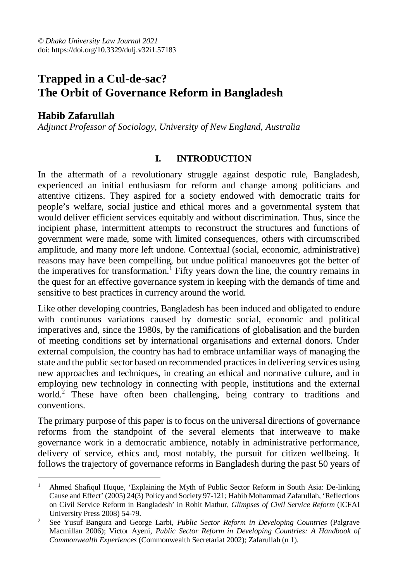# **Trapped in a Cul-de-sac? The Orbit of Governance Reform in Bangladesh**

# **Habib Zafarullah**

*Adjunct Professor of Sociology, University of New England, Australia*

## **I. INTRODUCTION**

In the aftermath of a revolutionary struggle against despotic rule, Bangladesh, experienced an initial enthusiasm for reform and change among politicians and attentive citizens. They aspired for a society endowed with democratic traits for people's welfare, social justice and ethical mores and a governmental system that would deliver efficient services equitably and without discrimination. Thus, since the incipient phase, intermittent attempts to reconstruct the structures and functions of government were made, some with limited consequences, others with circumscribed amplitude, and many more left undone. Contextual (social, economic, administrative) reasons may have been compelling, but undue political manoeuvres got the better of the imperatives for transformation.<sup>1</sup> Fifty years down the line, the country remains in the quest for an effective governance system in keeping with the demands of time and sensitive to best practices in currency around the world.

Like other developing countries, Bangladesh has been induced and obligated to endure with continuous variations caused by domestic social, economic and political imperatives and, since the 1980s, by the ramifications of globalisation and the burden of meeting conditions set by international organisations and external donors. Under external compulsion, the country has had to embrace unfamiliar ways of managing the state and the public sector based on recommended practices in delivering services using new approaches and techniques, in creating an ethical and normative culture, and in employing new technology in connecting with people, institutions and the external world.<sup>2</sup> These have often been challenging, being contrary to traditions and conventions.

The primary purpose of this paper is to focus on the universal directions of governance reforms from the standpoint of the several elements that interweave to make governance work in a democratic ambience, notably in administrative performance, delivery of service, ethics and, most notably, the pursuit for citizen wellbeing. It follows the trajectory of governance reforms in Bangladesh during the past 50 years of

 $\bar{1}$ <sup>1</sup> Ahmed Shafiqul Huque, 'Explaining the Myth of Public Sector Reform in South Asia: De-linking Cause and Effect' (2005) 24(3) Policy and Society 97-121; Habib Mohammad Zafarullah, 'Reflections on Civil Service Reform in Bangladesh' in Rohit Mathur, *Glimpses of Civil Service Reform* (ICFAI University Press 2008) 54-79.

<sup>2</sup> See Yusuf Bangura and George Larbi, *Public Sector Reform in Developing Countries* (Palgrave Macmillan 2006); Victor Ayeni, *Public Sector Reform in Developing Countries: A Handbook of Commonwealth Experiences* (Commonwealth Secretariat 2002); Zafarullah (n 1).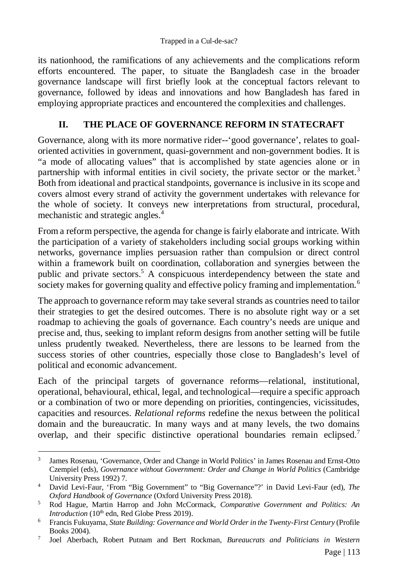its nationhood, the ramifications of any achievements and the complications reform efforts encountered. The paper, to situate the Bangladesh case in the broader governance landscape will first briefly look at the conceptual factors relevant to governance, followed by ideas and innovations and how Bangladesh has fared in employing appropriate practices and encountered the complexities and challenges.

# **II. THE PLACE OF GOVERNANCE REFORM IN STATECRAFT**

Governance, along with its more normative rider--'good governance', relates to goaloriented activities in government, quasi-government and non-government bodies. It is "a mode of allocating values" that is accomplished by state agencies alone or in partnership with informal entities in civil society, the private sector or the market. $3$ Both from ideational and practical standpoints, governance is inclusive in its scope and covers almost every strand of activity the government undertakes with relevance for the whole of society. It conveys new interpretations from structural, procedural, mechanistic and strategic angles.<sup>4</sup>

From a reform perspective, the agenda for change is fairly elaborate and intricate. With the participation of a variety of stakeholders including social groups working within networks, governance implies persuasion rather than compulsion or direct control within a framework built on coordination, collaboration and synergies between the public and private sectors.<sup>5</sup> A conspicuous interdependency between the state and society makes for governing quality and effective policy framing and implementation.<sup>6</sup>

The approach to governance reform may take several strands as countries need to tailor their strategies to get the desired outcomes. There is no absolute right way or a set roadmap to achieving the goals of governance. Each country's needs are unique and precise and, thus, seeking to implant reform designs from another setting will be futile unless prudently tweaked. Nevertheless, there are lessons to be learned from the success stories of other countries, especially those close to Bangladesh's level of political and economic advancement.

Each of the principal targets of governance reforms—relational, institutional, operational, behavioural, ethical, legal, and technological—require a specific approach or a combination of two or more depending on priorities, contingencies, vicissitudes, capacities and resources. *Relational reforms* redefine the nexus between the political domain and the bureaucratic. In many ways and at many levels, the two domains overlap, and their specific distinctive operational boundaries remain eclipsed.<sup>7</sup>

 $\overline{a}$ 3 James Rosenau, 'Governance, Order and Change in World Politics' in James Rosenau and Ernst-Otto Czempiel (eds), *Governance without Government: Order and Change in World Politics* (Cambridge University Press 1992) 7.

<sup>4</sup> David Levi-Faur, 'From "Big Government" to "Big Governance"?' in David Levi-Faur (ed), *The Oxford Handbook of Governance* (Oxford University Press 2018).

<sup>5</sup> Rod Hague, Martin Harrop and John McCormack, *Comparative Government and Politics: An Introduction* (10<sup>th</sup> edn, Red Globe Press 2019).

<sup>6</sup> Francis Fukuyama, *State Building: Governance and World Order in the Twenty-First Century* (Profile Books 2004).

<sup>7</sup> Joel Aberbach, Robert Putnam and Bert Rockman, *Bureaucrats and Politicians in Western*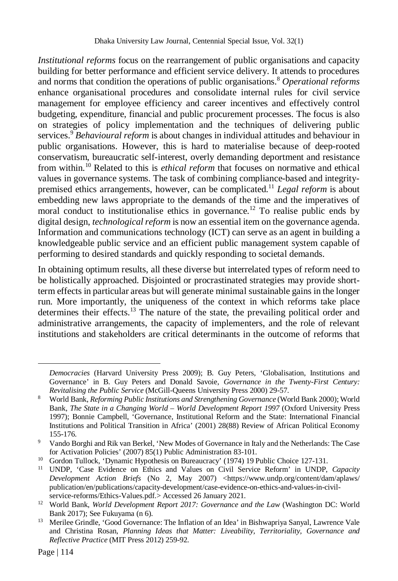*Institutional reforms* focus on the rearrangement of public organisations and capacity building for better performance and efficient service delivery. It attends to procedures and norms that condition the operations of public organisations.<sup>8</sup> *Operational reforms* enhance organisational procedures and consolidate internal rules for civil service management for employee efficiency and career incentives and effectively control budgeting, expenditure, financial and public procurement processes. The focus is also on strategies of policy implementation and the techniques of delivering public services.<sup>9</sup> *Behavioural reform* is about changes in individual attitudes and behaviour in public organisations. However, this is hard to materialise because of deep-rooted conservatism, bureaucratic self-interest, overly demanding deportment and resistance from within.<sup>10</sup> Related to this is *ethical reform* that focuses on normative and ethical values in governance systems. The task of combining compliance-based and integritypremised ethics arrangements, however, can be complicated.<sup>11</sup> *Legal reform* is about embedding new laws appropriate to the demands of the time and the imperatives of moral conduct to institutionalise ethics in governance.<sup>12</sup> To realise public ends by digital design, *technological reform* is now an essential item on the governance agenda. Information and communications technology (ICT) can serve as an agent in building a knowledgeable public service and an efficient public management system capable of performing to desired standards and quickly responding to societal demands.

In obtaining optimum results, all these diverse but interrelated types of reform need to be holistically approached. Disjointed or procrastinated strategies may provide shortterm effects in particular areas but will generate minimal sustainable gains in the longer run. More importantly, the uniqueness of the context in which reforms take place determines their effects.<sup>13</sup> The nature of the state, the prevailing political order and administrative arrangements, the capacity of implementers, and the role of relevant institutions and stakeholders are critical determinants in the outcome of reforms that

*Democracies* (Harvard University Press 2009); B. Guy Peters, 'Globalisation, Institutions and Governance' in B. Guy Peters and Donald Savoie, *Governance in the Twenty-First Century: Revitalising the Public Service* (McGill-Queens University Press 2000) 29-57.

<sup>8</sup> World Bank, *Reforming Public Institutions and Strengthening Governance* (World Bank 2000); World Bank, *The State in a Changing World – World Development Report 1997* (Oxford University Press 1997); Bonnie Campbell, 'Governance, Institutional Reform and the State: International Financial Institutions and Political Transition in Africa' (2001) 28(88) Review of African Political Economy 155-176.

<sup>9</sup> Vando Borghi and Rik van Berkel, 'New Modes of Governance in Italy and the Netherlands: The Case for Activation Policies' (2007) 85(1) Public Administration 83-101.

<sup>&</sup>lt;sup>10</sup> Gordon Tullock, 'Dynamic Hypothesis on Bureaucracy' (1974) 19 Public Choice 127-131.

<sup>11</sup> UNDP, 'Case Evidence on Ethics and Values on Civil Service Reform' in UNDP, *Capacity Development Action Briefs* (No 2, May 2007) <https://www.undp.org/content/dam/aplaws/ publication/en/publications/capacity-development/case-evidence-on-ethics-and-values-in-civilservice-reforms/Ethics-Values.pdf.> Accessed 26 January 2021.

<sup>&</sup>lt;sup>12</sup> World Bank, *World Development Report 2017: Governance and the Law* (Washington DC: World Bank 2017); See Fukuyama (n 6).

<sup>&</sup>lt;sup>13</sup> Merilee Grindle, 'Good Governance: The Inflation of an Idea' in Bishwapriya Sanyal, Lawrence Vale and Christina Rosan, *Planning Ideas that Matter: Liveability, Territoriality, Governance and Reflective Practice* (MIT Press 2012) 259-92.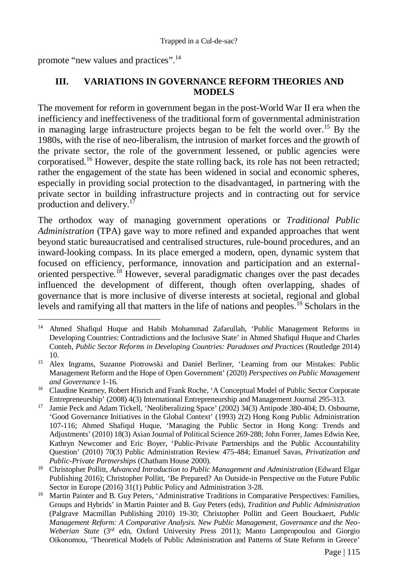promote "new values and practices".<sup>14</sup>

## **III. VARIATIONS IN GOVERNANCE REFORM THEORIES AND MODELS**

The movement for reform in government began in the post-World War II era when the inefficiency and ineffectiveness of the traditional form of governmental administration in managing large infrastructure projects began to be felt the world over.<sup>15</sup> By the 1980s, with the rise of neo-liberalism, the intrusion of market forces and the growth of the private sector, the role of the government lessened, or public agencies were corporatised.<sup>16</sup> However, despite the state rolling back, its role has not been retracted; rather the engagement of the state has been widened in social and economic spheres, especially in providing social protection to the disadvantaged, in partnering with the private sector in building infrastructure projects and in contracting out for service production and delivery.<sup>17</sup>

The orthodox way of managing government operations or *Traditional Public Administration* (TPA) gave way to more refined and expanded approaches that went beyond static bureaucratised and centralised structures, rule-bound procedures, and an inward-looking compass. In its place emerged a modern, open, dynamic system that focused on efficiency, performance, innovation and participation and an externaloriented perspective.<sup>18</sup> However, several paradigmatic changes over the past decades influenced the development of different, though often overlapping, shades of governance that is more inclusive of diverse interests at societal, regional and global levels and ramifying all that matters in the life of nations and peoples.<sup>19</sup> Scholars in the

 $\overline{a}$ <sup>14</sup> Ahmed Shafiqul Huque and Habib Mohammad Zafarullah, 'Public Management Reforms in Developing Countries: Contradictions and the Inclusive State' in Ahmed Shafiqul Huque and Charles Conteh, *Public Sector Reforms in Developing Countries: Paradoxes and Practices* (Routledge 2014) 10.

<sup>&</sup>lt;sup>15</sup> Alex Ingrams, Suzanne Piotrowski and Daniel Berliner, 'Learning from our Mistakes: Public Management Reform and the Hope of Open Government' (2020) *Perspectives on Public Management and Governance* 1-16.

<sup>&</sup>lt;sup>16</sup> Claudine Kearney, Robert Hisrich and Frank Roche, 'A Conceptual Model of Public Sector Corporate Entrepreneurship' (2008) 4(3) International Entrepreneurship and Management Journal 295-313.

<sup>&</sup>lt;sup>17</sup> Jamie Peck and Adam Tickell, 'Neoliberalizing Space' (2002) 34(3) Antipode 380-404; D. Osbourne, 'Good Governance Initiatives in the Global Context' (1993) 2(2) Hong Kong Public Administration 107-116; Ahmed Shafiqul Huque, 'Managing the Public Sector in Hong Kong: Trends and Adjustments' (2010) 18(3) Asian Journal of Political Science 269-288; John Forrer, James Edwin Kee, Kathryn Newcomer and Eric Boyer, 'Public-Private Partnerships and the Public Accountability Question' (2010) 70(3) Public Administration Review 475-484; Emanuel Savas, *Privatization and Public-Private Partnerships* (Chatham House 2000).

<sup>&</sup>lt;sup>18</sup> Christopher Pollitt, *Advanced Introduction to Public Management and Administration* (Edward Elgar Publishing 2016); Christopher Pollitt, 'Be Prepared? An Outside-in Perspective on the Future Public Sector in Europe (2016) 31(1) Public Policy and Administration 3-28.

<sup>&</sup>lt;sup>19</sup> Martin Painter and B. Guy Peters, 'Administrative Traditions in Comparative Perspectives: Families, Groups and Hybrids' in Martin Painter and B. Guy Peters (eds), *Tradition and Public Administration*  (Palgrave Macmillan Publishing 2010) 19-30; Christopher Pollitt and Geert Bouckaert, *Public Management Reform: A Comparative Analysis. New Public Management, Governance and the Neo-Weberian State* (3<sup>rd</sup> edn, Oxford University Press 2011); Manto Lampropoulou and Giorgio Oikonomou, 'Theoretical Models of Public Administration and Patterns of State Reform in Greece'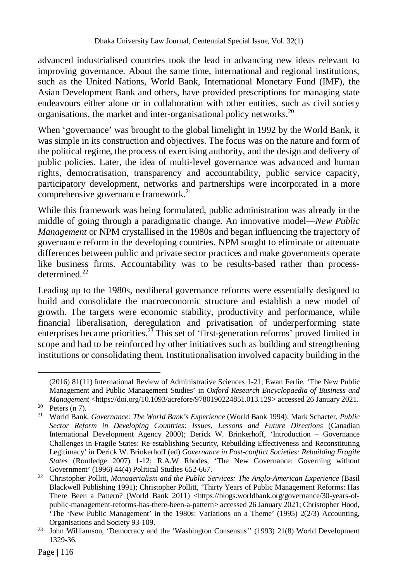advanced industrialised countries took the lead in advancing new ideas relevant to improving governance. About the same time, international and regional institutions, such as the United Nations, World Bank, International Monetary Fund (IMF), the Asian Development Bank and others, have provided prescriptions for managing state endeavours either alone or in collaboration with other entities, such as civil society organisations, the market and inter-organisational policy networks.<sup>20</sup>

When 'governance' was brought to the global limelight in 1992 by the World Bank, it was simple in its construction and objectives. The focus was on the nature and form of the political regime, the process of exercising authority, and the design and delivery of public policies. Later, the idea of multi-level governance was advanced and human rights, democratisation, transparency and accountability, public service capacity, participatory development, networks and partnerships were incorporated in a more comprehensive governance framework. $^{21}$ 

While this framework was being formulated, public administration was already in the middle of going through a paradigmatic change. An innovative model—*New Public Management* or NPM crystallised in the 1980s and began influencing the trajectory of governance reform in the developing countries. NPM sought to eliminate or attenuate differences between public and private sector practices and make governments operate like business firms. Accountability was to be results-based rather than processdetermined. $^{22}$ 

Leading up to the 1980s, neoliberal governance reforms were essentially designed to build and consolidate the macroeconomic structure and establish a new model of growth. The targets were economic stability, productivity and performance, while financial liberalisation, deregulation and privatisation of underperforming state enterprises became priorities.<sup>23</sup> This set of 'first-generation reforms' proved limited in scope and had to be reinforced by other initiatives such as building and strengthening institutions or consolidating them. Institutionalisation involved capacity building in the

<sup>(2016) 81(11)</sup> International Review of Administrative Sciences 1-21; Ewan Ferlie, 'The New Public Management and Public Management Studies' in *Oxford Research Encyclopaedia of Business and Management* <https://doi.org/10.1093/acrefore/9780190224851.013.129> accessed 26 January 2021.

Manugement<br><sup>20</sup> Peters (n 7).

<sup>21</sup> World Bank, *Governance: The World Bank's Experience* (World Bank 1994); Mark Schacter, *Public*  Sector Reform in Developing Countries: Issues, Lessons and Future Directions (Canadian International Development Agency 2000); Derick W. Brinkerhoff, 'Introduction – Governance Challenges in Fragile States: Re-establishing Security, Rebuilding Effectiveness and Reconstituting Legitimacy' in Derick W. Brinkerhoff (ed) *Governance in Post-conflict Societies: Rebuilding Fragile States* (Routledge 2007) 1-12; R.A.W Rhodes, 'The New Governance: Governing without Government' (1996) 44(4) Political Studies 652-667.

<sup>&</sup>lt;sup>22</sup> Christopher Pollitt, *Managerialism and the Public Services: The Anglo-American Experience* (Basil Blackwell Publishing 1991); Christopher Pollitt, 'Thirty Years of Public Management Reforms: Has There Been a Pattern? (World Bank 2011) <https://blogs.worldbank.org/governance/30-years-ofpublic-management-reforms-has-there-been-a-pattern> accessed 26 January 2021; Christopher Hood, 'The 'New Public Management' in the 1980s: Variations on a Theme' (1995) 2(2/3) Accounting, Organisations and Society 93-109.

<sup>&</sup>lt;sup>23</sup> John Williamson, 'Democracy and the 'Washington Consensus'' (1993) 21(8) World Development 1329-36.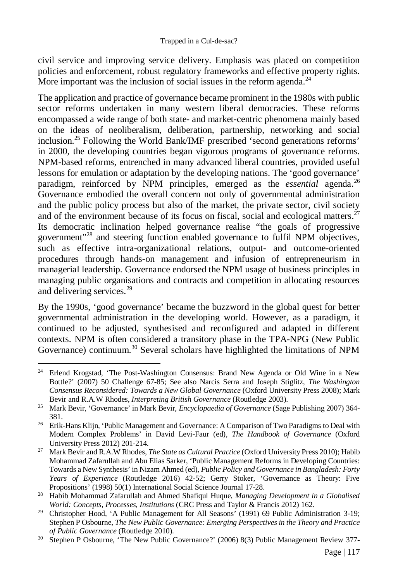civil service and improving service delivery. Emphasis was placed on competition policies and enforcement, robust regulatory frameworks and effective property rights. More important was the inclusion of social issues in the reform agenda.<sup>24</sup>

The application and practice of governance became prominent in the 1980s with public sector reforms undertaken in many western liberal democracies. These reforms encompassed a wide range of both state- and market-centric phenomena mainly based on the ideas of neoliberalism, deliberation, partnership, networking and social inclusion.<sup>25</sup> Following the World Bank/IMF prescribed 'second generations reforms' in 2000, the developing countries began vigorous programs of governance reforms. NPM-based reforms, entrenched in many advanced liberal countries, provided useful lessons for emulation or adaptation by the developing nations. The 'good governance' paradigm, reinforced by NPM principles, emerged as the *essential* agenda.<sup>26</sup> Governance embodied the overall concern not only of governmental administration and the public policy process but also of the market, the private sector, civil society and of the environment because of its focus on fiscal, social and ecological matters. $27$ Its democratic inclination helped governance realise "the goals of progressive government<sup>"28</sup> and steering function enabled governance to fulfil NPM objectives, such as effective intra-organizational relations, output- and outcome-oriented procedures through hands-on management and infusion of entrepreneurism in managerial leadership. Governance endorsed the NPM usage of business principles in managing public organisations and contracts and competition in allocating resources and delivering services.<sup>29</sup>

By the 1990s, 'good governance' became the buzzword in the global quest for better governmental administration in the developing world. However, as a paradigm, it continued to be adjusted, synthesised and reconfigured and adapted in different contexts. NPM is often considered a transitory phase in the TPA-NPG (New Public Governance) continuum.<sup>30</sup> Several scholars have highlighted the limitations of NPM

 $\overline{a}$ <sup>24</sup> Erlend Krogstad, 'The Post-Washington Consensus: Brand New Agenda or Old Wine in a New Bottle?' (2007) 50 Challenge 67-85; See also Narcis Serra and Joseph Stiglitz, *The Washington Consensus Reconsidered: Towards a New Global Governance* (Oxford University Press 2008); Mark Bevir and R.A.W Rhodes, *Interpreting British Governance* (Routledge 2003).

<sup>25</sup> Mark Bevir, 'Governance' in Mark Bevir, *Encyclopaedia of Governance* (Sage Publishing 2007) 364- 381.

<sup>&</sup>lt;sup>26</sup> Erik-Hans Klijn, 'Public Management and Governance: A Comparison of Two Paradigms to Deal with Modern Complex Problems' in David Levi-Faur (ed), *The Handbook of Governance* (Oxford University Press 2012) 201-214.

<sup>27</sup> Mark Bevir and R.A.W Rhodes, *The State as Cultural Practice* (Oxford University Press 2010); Habib Mohammad Zafarullah and Abu Elias Sarker, 'Public Management Reforms in Developing Countries: Towards a New Synthesis' in Nizam Ahmed (ed), *Public Policy and Governance in Bangladesh: Forty Years of Experience* (Routledge 2016) 42-52; Gerry Stoker, 'Governance as Theory: Five Propositions' (1998) 50(1) International Social Science Journal 17-28.

<sup>28</sup> Habib Mohammad Zafarullah and Ahmed Shafiqul Huque, *Managing Development in a Globalised World: Concepts, Processes, Institutions* (CRC Press and Taylor & Francis 2012) 162.

<sup>&</sup>lt;sup>29</sup> Christopher Hood, 'A Public Management for All Seasons' (1991) 69 Public Administration 3-19; Stephen P Osbourne, *The New Public Governance: Emerging Perspectives in the Theory and Practice of Public Governance* (Routledge 2010).

<sup>&</sup>lt;sup>30</sup> Stephen P Osbourne, 'The New Public Governance?' (2006) 8(3) Public Management Review 377-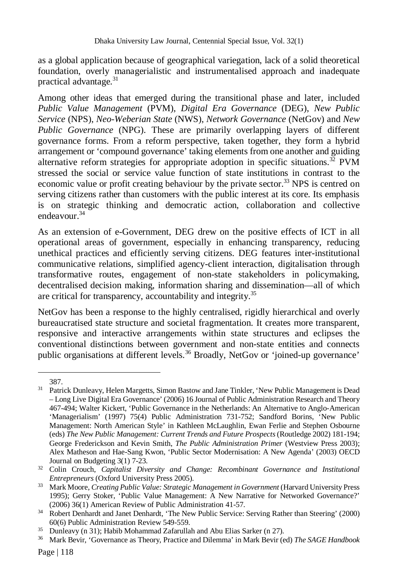as a global application because of geographical variegation, lack of a solid theoretical foundation, overly managerialistic and instrumentalised approach and inadequate practical advantage. $31$ 

Among other ideas that emerged during the transitional phase and later, included *Public Value Management* (PVM), *Digital Era Governance* (DEG), *New Public Service* (NPS), *Neo-Weberian State* (NWS), *Network Governance* (NetGov) and *New Public Governance* (NPG). These are primarily overlapping layers of different governance forms. From a reform perspective, taken together, they form a hybrid arrangement or 'compound governance' taking elements from one another and guiding alternative reform strategies for appropriate adoption in specific situations.<sup>32</sup> PVM stressed the social or service value function of state institutions in contrast to the economic value or profit creating behaviour by the private sector.<sup>33</sup> NPS is centred on serving citizens rather than customers with the public interest at its core. Its emphasis is on strategic thinking and democratic action, collaboration and collective endeavour.<sup>34</sup>

As an extension of e-Government, DEG drew on the positive effects of ICT in all operational areas of government, especially in enhancing transparency, reducing unethical practices and efficiently serving citizens. DEG features inter-institutional communicative relations, simplified agency-client interaction, digitalisation through transformative routes, engagement of non-state stakeholders in policymaking, decentralised decision making, information sharing and dissemination—all of which are critical for transparency, accountability and integrity.<sup>35</sup>

NetGov has been a response to the highly centralised, rigidly hierarchical and overly bureaucratised state structure and societal fragmentation. It creates more transparent, responsive and interactive arrangements within state structures and eclipses the conventional distinctions between government and non-state entities and connects public organisations at different levels.<sup>36</sup> Broadly, NetGov or 'joined-up governance'

<sup>387.</sup>

<sup>&</sup>lt;sup>31</sup> Patrick Dunleavy, Helen Margetts, Simon Bastow and Jane Tinkler, 'New Public Management is Dead – Long Live Digital Era Governance' (2006) 16 Journal of Public Administration Research and Theory 467-494; Walter Kickert, 'Public Governance in the Netherlands: An Alternative to Anglo-American 'Managerialism' (1997) 75(4) Public Administration 731-752; Sandford Borins, 'New Public Management: North American Style' in Kathleen McLaughlin, Ewan Ferlie and Stephen Osbourne (eds) *The New Public Management: Current Trends and Future Prospects* (Routledge 2002) 181-194; George Frederickson and Kevin Smith, *The Public Administration Primer* (Westview Press 2003); Alex Matheson and Hae-Sang Kwon, 'Public Sector Modernisation: A New Agenda' (2003) OECD Journal on Budgeting 3(1) 7-23.

<sup>32</sup> Colin Crouch, *Capitalist Diversity and Change: Recombinant Governance and Institutional Entrepreneurs* (Oxford University Press 2005).

<sup>33</sup> Mark Moore, *Creating Public Value: Strategic Management in Government* (Harvard University Press 1995); Gerry Stoker, 'Public Value Management: A New Narrative for Networked Governance?' (2006) 36(1) American Review of Public Administration 41-57.

<sup>&</sup>lt;sup>34</sup> Robert Denhardt and Janet Denhardt, 'The New Public Service: Serving Rather than Steering' (2000) 60(6) Public Administration Review 549-559.

<sup>&</sup>lt;sup>35</sup> Dunleavy (n 31); Habib Mohammad Zafarullah and Abu Elias Sarker (n 27).<br><sup>36</sup> Mark Bevir, 'Governance as Theory, Practice and Dilemma' in Mark Bevir (e

<sup>36</sup> Mark Bevir, 'Governance as Theory, Practice and Dilemma' in Mark Bevir (ed) *The SAGE Handbook*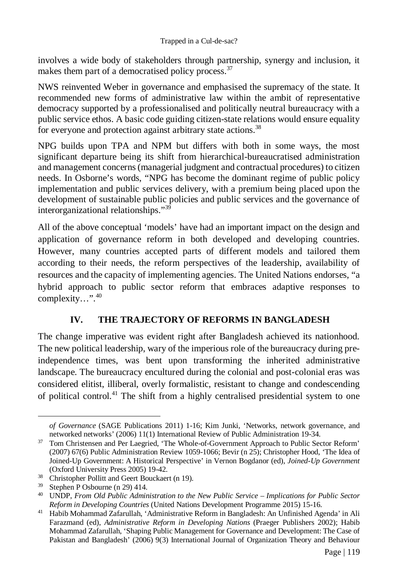involves a wide body of stakeholders through partnership, synergy and inclusion, it makes them part of a democratised policy process.<sup>37</sup>

NWS reinvented Weber in governance and emphasised the supremacy of the state. It recommended new forms of administrative law within the ambit of representative democracy supported by a professionalised and politically neutral bureaucracy with a public service ethos. A basic code guiding citizen-state relations would ensure equality for everyone and protection against arbitrary state actions.<sup>38</sup>

NPG builds upon TPA and NPM but differs with both in some ways, the most significant departure being its shift from hierarchical-bureaucratised administration and management concerns (managerial judgment and contractual procedures) to citizen needs. In Osborne's words, "NPG has become the dominant regime of public policy implementation and public services delivery, with a premium being placed upon the development of sustainable public policies and public services and the governance of interorganizational relationships."<sup>39</sup>

All of the above conceptual 'models' have had an important impact on the design and application of governance reform in both developed and developing countries. However, many countries accepted parts of different models and tailored them according to their needs, the reform perspectives of the leadership, availability of resources and the capacity of implementing agencies. The United Nations endorses, "a hybrid approach to public sector reform that embraces adaptive responses to complexity…".<sup>40</sup>

#### **IV. THE TRAJECTORY OF REFORMS IN BANGLADESH**

The change imperative was evident right after Bangladesh achieved its nationhood. The new political leadership, wary of the imperious role of the bureaucracy during preindependence times, was bent upon transforming the inherited administrative landscape. The bureaucracy encultured during the colonial and post-colonial eras was considered elitist, illiberal, overly formalistic, resistant to change and condescending of political control.<sup>41</sup> The shift from a highly centralised presidential system to one

*of Governance* (SAGE Publications 2011) 1-16; Kim Junki, 'Networks, network governance, and networked networks' (2006) 11(1) International Review of Public Administration 19-34.

<sup>&</sup>lt;sup>37</sup> Tom Christensen and Per Laegried, 'The Whole-of-Government Approach to Public Sector Reform' (2007) 67(6) Public Administration Review 1059-1066; Bevir (n 25); Christopher Hood, 'The Idea of Joined-Up Government: A Historical Perspective' in Vernon Bogdanor (ed), *Joined-Up Government*  (Oxford University Press 2005) 19-42.

<sup>&</sup>lt;sup>38</sup> Christopher Pollitt and Geert Bouckaert (n 19).<br><sup>39</sup> Stephen B Osbourne (n 29) 414

Stephen P Osbourne (n 29) 414.

<sup>40</sup> UNDP, *From Old Public Administration to the New Public Service – Implications for Public Sector Reform in Developing Countries* (United Nations Development Programme 2015) 15-16.

<sup>41</sup> Habib Mohammad Zafarullah, 'Administrative Reform in Bangladesh: An Unfinished Agenda' in Ali Farazmand (ed), *Administrative Reform in Developing Nations* (Praeger Publishers 2002); Habib Mohammad Zafarullah, 'Shaping Public Management for Governance and Development: The Case of Pakistan and Bangladesh' (2006) 9(3) International Journal of Organization Theory and Behaviour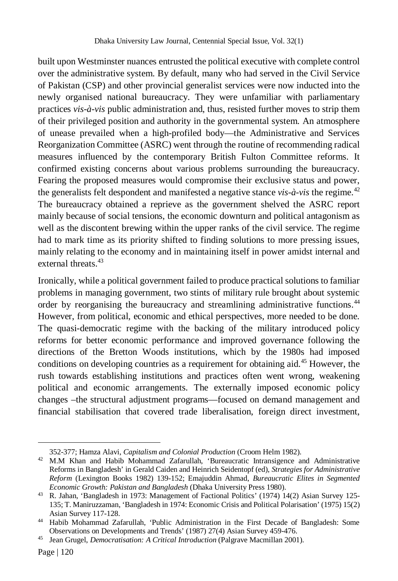built upon Westminster nuances entrusted the political executive with complete control over the administrative system. By default, many who had served in the Civil Service of Pakistan (CSP) and other provincial generalist services were now inducted into the newly organised national bureaucracy. They were unfamiliar with parliamentary practices *vis-à-vis* public administration and, thus, resisted further moves to strip them of their privileged position and authority in the governmental system. An atmosphere of unease prevailed when a high-profiled body—the Administrative and Services Reorganization Committee (ASRC) went through the routine of recommending radical measures influenced by the contemporary British Fulton Committee reforms. It confirmed existing concerns about various problems surrounding the bureaucracy. Fearing the proposed measures would compromise their exclusive status and power, the generalists felt despondent and manifested a negative stance  $vis-\hat{a}-vis$  the regime.<sup>42</sup> The bureaucracy obtained a reprieve as the government shelved the ASRC report mainly because of social tensions, the economic downturn and political antagonism as well as the discontent brewing within the upper ranks of the civil service. The regime had to mark time as its priority shifted to finding solutions to more pressing issues, mainly relating to the economy and in maintaining itself in power amidst internal and external threats.<sup>43</sup>

Ironically, while a political government failed to produce practical solutions to familiar problems in managing government, two stints of military rule brought about systemic order by reorganising the bureaucracy and streamlining administrative functions.<sup>44</sup> However, from political, economic and ethical perspectives, more needed to be done. The quasi-democratic regime with the backing of the military introduced policy reforms for better economic performance and improved governance following the directions of the Bretton Woods institutions, which by the 1980s had imposed conditions on developing countries as a requirement for obtaining aid.<sup>45</sup> However, the rush towards establishing institutions and practices often went wrong, weakening political and economic arrangements. The externally imposed economic policy changes –the structural adjustment programs—focused on demand management and financial stabilisation that covered trade liberalisation, foreign direct investment,

<sup>352-377;</sup> Hamza Alavi, *Capitalism and Colonial Production* (Croom Helm 1982).

<sup>42</sup> M.M Khan and Habib Mohammad Zafarullah, 'Bureaucratic Intransigence and Administrative Reforms in Bangladesh' in Gerald Caiden and Heinrich Seidentopf (ed), *Strategies for Administrative Reform* (Lexington Books 1982) 139-152; Emajuddin Ahmad, *Bureaucratic Elites in Segmented Economic Growth: Pakistan and Bangladesh* (Dhaka University Press 1980).

<sup>43</sup> R. Jahan, 'Bangladesh in 1973: Management of Factional Politics' (1974) 14(2) Asian Survey 125- 135; T. Maniruzzaman, 'Bangladesh in 1974: Economic Crisis and Political Polarisation' (1975) 15(2) Asian Survey 117-128.

<sup>44</sup> Habib Mohammad Zafarullah, 'Public Administration in the First Decade of Bangladesh: Some Observations on Developments and Trends' (1987) 27(4) Asian Survey 459-476.

<sup>45</sup> Jean Grugel, *Democratisation: A Critical Introduction* (Palgrave Macmillan 2001).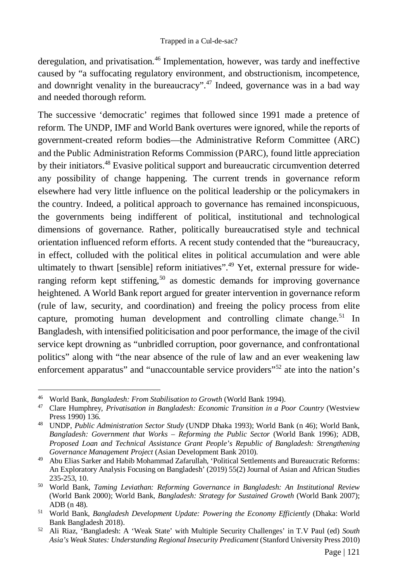deregulation, and privatisation.<sup>46</sup> Implementation, however, was tardy and ineffective caused by "a suffocating regulatory environment, and obstructionism, incompetence, and downright venality in the bureaucracy".<sup>47</sup> Indeed, governance was in a bad way and needed thorough reform.

The successive 'democratic' regimes that followed since 1991 made a pretence of reform. The UNDP, IMF and World Bank overtures were ignored, while the reports of government-created reform bodies—the Administrative Reform Committee (ARC) and the Public Administration Reforms Commission (PARC), found little appreciation by their initiators.<sup>48</sup> Evasive political support and bureaucratic circumvention deterred any possibility of change happening. The current trends in governance reform elsewhere had very little influence on the political leadership or the policymakers in the country. Indeed, a political approach to governance has remained inconspicuous, the governments being indifferent of political, institutional and technological dimensions of governance. Rather, politically bureaucratised style and technical orientation influenced reform efforts. A recent study contended that the "bureaucracy, in effect, colluded with the political elites in political accumulation and were able ultimately to thwart [sensible] reform initiatives".<sup>49</sup> Yet, external pressure for wideranging reform kept stiffening,<sup>50</sup> as domestic demands for improving governance heightened. A World Bank report argued for greater intervention in governance reform (rule of law, security, and coordination) and freeing the policy process from elite capture, promoting human development and controlling climate change.<sup>51</sup> In Bangladesh, with intensified politicisation and poor performance, the image of the civil service kept drowning as "unbridled corruption, poor governance, and confrontational politics" along with "the near absence of the rule of law and an ever weakening law enforcement apparatus" and "unaccountable service providers"<sup>52</sup> ate into the nation's

 $\overline{a}$ <sup>46</sup> World Bank, *Bangladesh: From Stabilisation to Growth* (World Bank 1994).

<sup>&</sup>lt;sup>47</sup> Clare Humphrey, *Privatisation in Bangladesh: Economic Transition in a Poor Country* (Westview Press 1990) 136.

<sup>48</sup> UNDP, *Public Administration Sector Study* (UNDP Dhaka 1993); World Bank (n 46); World Bank, *Bangladesh: Government that Works – Reforming the Public Sector* (World Bank 1996); ADB, *Proposed Loan and Technical Assistance Grant People's Republic of Bangladesh: Strengthening Governance Management Project* (Asian Development Bank 2010).

<sup>49</sup> Abu Elias Sarker and Habib Mohammad Zafarullah, 'Political Settlements and Bureaucratic Reforms: An Exploratory Analysis Focusing on Bangladesh' (2019) 55(2) Journal of Asian and African Studies 235-253, 10.

<sup>50</sup> World Bank, *Taming Leviathan: Reforming Governance in Bangladesh: An Institutional Review*  (World Bank 2000); World Bank, *Bangladesh: Strategy for Sustained Growth* (World Bank 2007); ADB (n 48).

<sup>51</sup> World Bank, *Bangladesh Development Update: Powering the Economy Efficiently* (Dhaka: World Bank Bangladesh 2018).

<sup>52</sup> Ali Riaz, 'Bangladesh: A 'Weak State' with Multiple Security Challenges' in T.V Paul (ed) *South*  Asia's Weak States: Understanding Regional Insecurity Predicament (Stanford University Press 2010)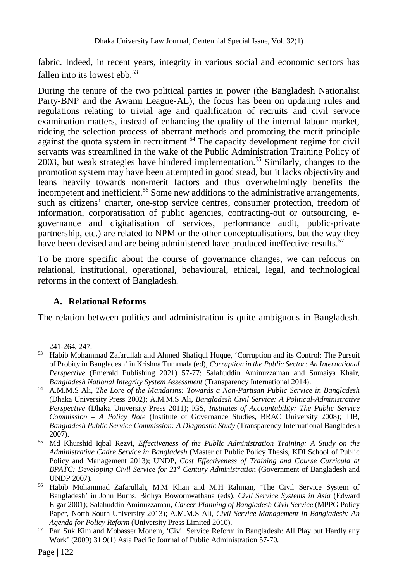fabric. Indeed, in recent years, integrity in various social and economic sectors has fallen into its lowest ebb. $53$ 

During the tenure of the two political parties in power (the Bangladesh Nationalist Party-BNP and the Awami League-AL), the focus has been on updating rules and regulations relating to trivial age and qualification of recruits and civil service examination matters, instead of enhancing the quality of the internal labour market, ridding the selection process of aberrant methods and promoting the merit principle against the quota system in recruitment.<sup>54</sup> The capacity development regime for civil servants was streamlined in the wake of the Public Administration Training Policy of 2003, but weak strategies have hindered implementation.<sup>55</sup> Similarly, changes to the promotion system may have been attempted in good stead, but it lacks objectivity and leans heavily towards non-merit factors and thus overwhelmingly benefits the incompetent and inefficient.<sup>56</sup> Some new additions to the administrative arrangements, such as citizens' charter, one-stop service centres, consumer protection, freedom of information, corporatisation of public agencies, contracting-out or outsourcing, egovernance and digitalisation of services, performance audit, public-private partnership, etc.) are related to NPM or the other conceptualisations, but the way they have been devised and are being administered have produced ineffective results.<sup>57</sup>

To be more specific about the course of governance changes, we can refocus on relational, institutional, operational, behavioural, ethical, legal, and technological reforms in the context of Bangladesh.

#### **A. Relational Reforms**

The relation between politics and administration is quite ambiguous in Bangladesh.

<sup>241-264, 247.</sup>

<sup>53</sup> Habib Mohammad Zafarullah and Ahmed Shafiqul Huque, 'Corruption and its Control: The Pursuit of Probity in Bangladesh' in Krishna Tummala (ed), *Corruption in the Public Sector: An International Perspective* (Emerald Publishing 2021) 57-77; Salahuddin Aminuzzaman and Sumaiya Khair, *Bangladesh National Integrity System Assessment* (Transparency International 2014).

<sup>54</sup> A.M.M.S Ali, *The Lore of the Mandarins: Towards a Non-Partisan Public Service in Bangladesh*  (Dhaka University Press 2002); A.M.M.S Ali, *Bangladesh Civil Service: A Political-Administrative Perspective* (Dhaka University Press 2011); IGS, *Institutes of Accountability: The Public Service Commission – A Policy Note* (Institute of Governance Studies, BRAC University 2008); TIB, *Bangladesh Public Service Commission: A Diagnostic Study* (Transparency International Bangladesh 2007).

<sup>55</sup> Md Khurshid Iqbal Rezvi, *Effectiveness of the Public Administration Training: A Study on the Administrative Cadre Service in Bangladesh* (Master of Public Policy Thesis, KDI School of Public Policy and Management 2013); UNDP, *Cost Effectiveness of Training and Course Curricula at BPATC: Developing Civil Service for 21st Century Administration* (Government of Bangladesh and UNDP 2007).

<sup>56</sup> Habib Mohammad Zafarullah, M.M Khan and M.H Rahman, 'The Civil Service System of Bangladesh' in John Burns, Bidhya Bowornwathana (eds), *Civil Service Systems in Asia* (Edward Elgar 2001); Salahuddin Aminuzzaman, *Career Planning of Bangladesh Civil Service* (MPPG Policy Paper, North South University 2013); A.M.M.S Ali, *Civil Service Management in Bangladesh: An Agenda for Policy Reform* (University Press Limited 2010).

<sup>57</sup> Pan Suk Kim and Mobasser Monem, 'Civil Service Reform in Bangladesh: All Play but Hardly any Work' (2009) 31 9(1) Asia Pacific Journal of Public Administration 57-70.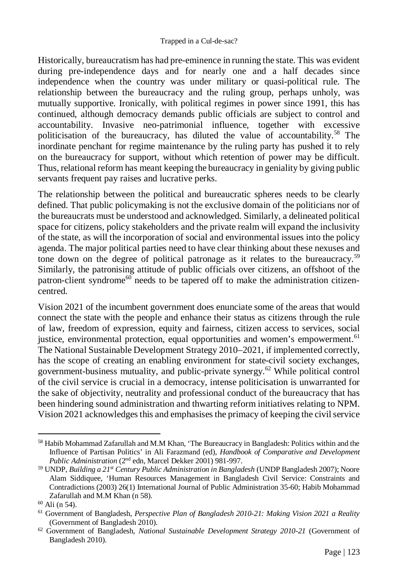Historically, bureaucratism has had pre-eminence in running the state. This was evident during pre-independence days and for nearly one and a half decades since independence when the country was under military or quasi-political rule. The relationship between the bureaucracy and the ruling group, perhaps unholy, was mutually supportive. Ironically, with political regimes in power since 1991, this has continued, although democracy demands public officials are subject to control and accountability. Invasive neo-patrimonial influence, together with excessive politicisation of the bureaucracy, has diluted the value of accountability.<sup>58</sup> The inordinate penchant for regime maintenance by the ruling party has pushed it to rely on the bureaucracy for support, without which retention of power may be difficult. Thus, relational reform has meant keeping the bureaucracy in geniality by giving public servants frequent pay raises and lucrative perks.

The relationship between the political and bureaucratic spheres needs to be clearly defined. That public policymaking is not the exclusive domain of the politicians nor of the bureaucrats must be understood and acknowledged. Similarly, a delineated political space for citizens, policy stakeholders and the private realm will expand the inclusivity of the state, as will the incorporation of social and environmental issues into the policy agenda. The major political parties need to have clear thinking about these nexuses and tone down on the degree of political patronage as it relates to the bureaucracy.<sup>59</sup> Similarly, the patronising attitude of public officials over citizens, an offshoot of the patron-client syndrome<sup>60</sup> needs to be tapered off to make the administration citizencentred.

Vision 2021 of the incumbent government does enunciate some of the areas that would connect the state with the people and enhance their status as citizens through the rule of law, freedom of expression, equity and fairness, citizen access to services, social justice, environmental protection, equal opportunities and women's empowerment.<sup>61</sup> The National Sustainable Development Strategy 2010–2021, if implemented correctly, has the scope of creating an enabling environment for state-civil society exchanges, government-business mutuality, and public-private synergy. <sup>62</sup> While political control of the civil service is crucial in a democracy, intense politicisation is unwarranted for the sake of objectivity, neutrality and professional conduct of the bureaucracy that has been hindering sound administration and thwarting reform initiatives relating to NPM. Vision 2021 acknowledges this and emphasises the primacy of keeping the civil service

<sup>&</sup>lt;sup>58</sup> Habib Mohammad Zafarullah and M.M Khan, 'The Bureaucracy in Bangladesh: Politics within and the Influence of Partisan Politics' in Ali Farazmand (ed), *Handbook of Comparative and Development Public Administration* (2nd edn, Marcel Dekker 2001) 981-997.

<sup>59</sup> UNDP, *Building a 21st Century Public Administration in Bangladesh* (UNDP Bangladesh 2007); Noore Alam Siddiquee, 'Human Resources Management in Bangladesh Civil Service: Constraints and Contradictions (2003) 26(1) International Journal of Public Administration 35-60; Habib Mohammad Zafarullah and M.M Khan (n 58).

 $60$  Ali (n 54).

<sup>61</sup> Government of Bangladesh, *Perspective Plan of Bangladesh 2010-21: Making Vision 2021 a Reality* (Government of Bangladesh 2010).

<sup>62</sup> Government of Bangladesh, *National Sustainable Development Strategy 2010-21* (Government of Bangladesh 2010).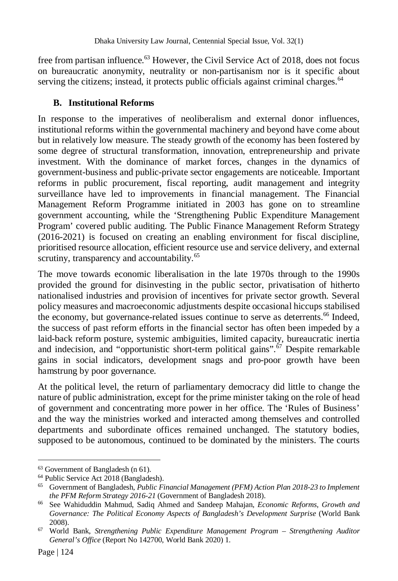free from partisan influence.<sup>63</sup> However, the Civil Service Act of 2018, does not focus on bureaucratic anonymity, neutrality or non-partisanism nor is it specific about serving the citizens; instead, it protects public officials against criminal charges. $64$ 

#### **B. Institutional Reforms**

In response to the imperatives of neoliberalism and external donor influences, institutional reforms within the governmental machinery and beyond have come about but in relatively low measure. The steady growth of the economy has been fostered by some degree of structural transformation, innovation, entrepreneurship and private investment. With the dominance of market forces, changes in the dynamics of government-business and public-private sector engagements are noticeable. Important reforms in public procurement, fiscal reporting, audit management and integrity surveillance have led to improvements in financial management. The Financial Management Reform Programme initiated in 2003 has gone on to streamline government accounting, while the 'Strengthening Public Expenditure Management Program' covered public auditing. The Public Finance Management Reform Strategy (2016-2021) is focused on creating an enabling environment for fiscal discipline, prioritised resource allocation, efficient resource use and service delivery, and external scrutiny, transparency and accountability.<sup>65</sup>

The move towards economic liberalisation in the late 1970s through to the 1990s provided the ground for disinvesting in the public sector, privatisation of hitherto nationalised industries and provision of incentives for private sector growth. Several policy measures and macroeconomic adjustments despite occasional hiccups stabilised the economy, but governance-related issues continue to serve as deterrents.<sup>66</sup> Indeed, the success of past reform efforts in the financial sector has often been impeded by a laid-back reform posture, systemic ambiguities, limited capacity, bureaucratic inertia and indecision, and "opportunistic short-term political gains".<sup> $67$ </sup> Despite remarkable gains in social indicators, development snags and pro-poor growth have been hamstrung by poor governance.

At the political level, the return of parliamentary democracy did little to change the nature of public administration, except for the prime minister taking on the role of head of government and concentrating more power in her office. The 'Rules of Business' and the way the ministries worked and interacted among themselves and controlled departments and subordinate offices remained unchanged. The statutory bodies, supposed to be autonomous, continued to be dominated by the ministers. The courts

<sup>63</sup> Government of Bangladesh (n 61).

<sup>64</sup> Public Service Act 2018 (Bangladesh).

<sup>65</sup> Government of Bangladesh, *Public Financial Management (PFM) Action Plan 2018-23 to Implement the PFM Reform Strategy 2016-21* (Government of Bangladesh 2018).

<sup>66</sup> See Wahiduddin Mahmud, Sadiq Ahmed and Sandeep Mahajan, *Economic Reforms, Growth and*  Governance: The Political Economy Aspects of Bangladesh's Development Surprise (World Bank 2008).

<sup>67</sup> World Bank, *Strengthening Public Expenditure Management Program – Strengthening Auditor General's Office* (Report No 142700, World Bank 2020) 1.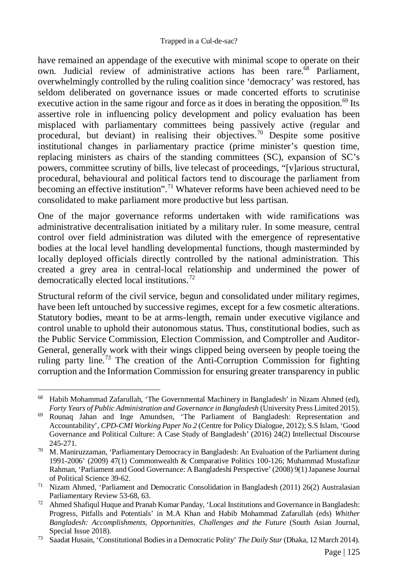have remained an appendage of the executive with minimal scope to operate on their own. Judicial review of administrative actions has been rare.<sup>68</sup> Parliament, overwhelmingly controlled by the ruling coalition since 'democracy' was restored, has seldom deliberated on governance issues or made concerted efforts to scrutinise executive action in the same rigour and force as it does in berating the opposition.<sup>69</sup> Its assertive role in influencing policy development and policy evaluation has been misplaced with parliamentary committees being passively active (regular and procedural, but deviant) in realising their objectives.<sup>70</sup> Despite some positive institutional changes in parliamentary practice (prime minister's question time, replacing ministers as chairs of the standing committees (SC), expansion of SC's powers, committee scrutiny of bills, live telecast of proceedings, "[v]arious structural, procedural, behavioural and political factors tend to discourage the parliament from becoming an effective institution".<sup>71</sup> Whatever reforms have been achieved need to be consolidated to make parliament more productive but less partisan.

One of the major governance reforms undertaken with wide ramifications was administrative decentralisation initiated by a military ruler. In some measure, central control over field administration was diluted with the emergence of representative bodies at the local level handling developmental functions, though masterminded by locally deployed officials directly controlled by the national administration. This created a grey area in central-local relationship and undermined the power of democratically elected local institutions.<sup>72</sup>

Structural reform of the civil service, begun and consolidated under military regimes, have been left untouched by successive regimes, except for a few cosmetic alterations. Statutory bodies, meant to be at arms-length, remain under executive vigilance and control unable to uphold their autonomous status. Thus, constitutional bodies, such as the Public Service Commission, Election Commission, and Comptroller and Auditor-General, generally work with their wings clipped being overseen by people toeing the ruling party line.<sup>73</sup> The creation of the Anti-Corruption Commission for fighting corruption and the Information Commission for ensuring greater transparency in public

 $\overline{a}$ <sup>68</sup> Habib Mohammad Zafarullah, 'The Governmental Machinery in Bangladesh' in Nizam Ahmed (ed), *Forty Years of Public Administration and Governance in Bangladesh* (University Press Limited 2015).

<sup>69</sup> Rounaq Jahan and Inge Amundsen, 'The Parliament of Bangladesh: Representation and Accountability', *CPD-CMI Working Paper No 2* (Centre for Policy Dialogue, 2012); S.S Islam, 'Good Governance and Political Culture: A Case Study of Bangladesh' (2016) 24(2) Intellectual Discourse 245-271.

<sup>70</sup> M. Maniruzzaman, 'Parliamentary Democracy in Bangladesh: An Evaluation of the Parliament during 1991-2006' (2009) 47(1) Commonwealth & Comparative Politics 100-126; Muhammad Mustafizur Rahman, 'Parliament and Good Governance: A Bangladeshi Perspective' (2008) 9(1) Japanese Journal of Political Science 39-62.

<sup>&</sup>lt;sup>71</sup> Nizam Ahmed, 'Parliament and Democratic Consolidation in Bangladesh (2011) 26(2) Australasian Parliamentary Review 53-68, 63.

 $72$  Ahmed Shafiqul Huque and Pranab Kumar Panday, 'Local Institutions and Governance in Bangladesh: Progress, Pitfalls and Potentials' in M.A Khan and Habib Mohammad Zafarullah (eds) *Whither Bangladesh: Accomplishments, Opportunities, Challenges and the Future* (South Asian Journal, Special Issue 2018).

<sup>73</sup> Saadat Husain, 'Constitutional Bodies in a Democratic Polity' *The Daily Star* (Dhaka, 12 March 2014).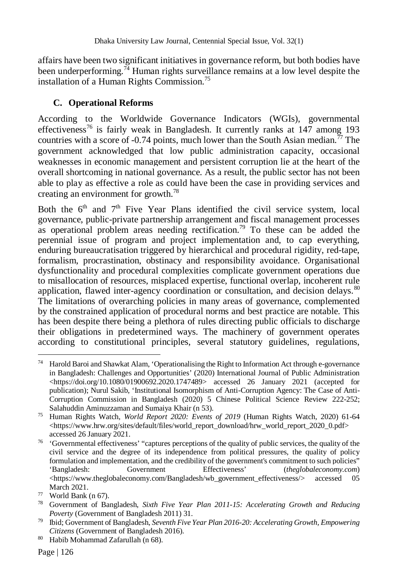affairs have been two significant initiatives in governance reform, but both bodies have been underperforming.<sup>74</sup> Human rights surveillance remains at a low level despite the installation of a Human Rights Commission.<sup>75</sup>

# **C. Operational Reforms**

According to the Worldwide Governance Indicators (WGIs), governmental effectiveness<sup>76</sup> is fairly weak in Bangladesh. It currently ranks at 147 among 193 countries with a score of  $-0.74$  points, much lower than the South Asian median.<sup>77</sup> The government acknowledged that low public administration capacity, occasional weaknesses in economic management and persistent corruption lie at the heart of the overall shortcoming in national governance. As a result, the public sector has not been able to play as effective a role as could have been the case in providing services and creating an environment for growth.<sup>78</sup>

Both the  $6<sup>th</sup>$  and  $7<sup>th</sup>$  Five Year Plans identified the civil service system, local governance, public-private partnership arrangement and fiscal management processes as operational problem areas needing rectification.<sup>79</sup> To these can be added the perennial issue of program and project implementation and, to cap everything, enduring bureaucratisation triggered by hierarchical and procedural rigidity, red-tape, formalism, procrastination, obstinacy and responsibility avoidance. Organisational dysfunctionality and procedural complexities complicate government operations due to misallocation of resources, misplaced expertise, functional overlap, incoherent rule application, flawed inter-agency coordination or consultation, and decision delays.<sup>80</sup> The limitations of overarching policies in many areas of governance, complemented by the constrained application of procedural norms and best practice are notable. This has been despite there being a plethora of rules directing public officials to discharge their obligations in predetermined ways. The machinery of government operates according to constitutional principles, several statutory guidelines, regulations,

 $\overline{a}$ <sup>74</sup> Harold Baroi and Shawkat Alam, 'Operationalising the Right to Information Act through e-governance in Bangladesh: Challenges and Opportunities' (2020) International Journal of Public Administration  $\langle \text{https://doi.org/10.1080/01900692.2020.1747489} \rangle$  accessed 26 January 2021 (accepted for publication); Nurul Sakib, 'Institutional Isomorphism of Anti-Corruption Agency: The Case of Anti-Corruption Commission in Bangladesh (2020) 5 Chinese Political Science Review 222-252; Salahuddin Aminuzzaman and Sumaiya Khair (n 53).

<sup>75</sup> Human Rights Watch, *World Report 2020: Events of 2019* (Human Rights Watch, 2020) 61-64 <https://www.hrw.org/sites/default/files/world\_report\_download/hrw\_world\_report\_2020\_0.pdf> accessed 26 January 2021.

<sup>&</sup>lt;sup>76</sup> 'Governmental effectiveness' "captures perceptions of the quality of public services, the quality of the civil service and the degree of its independence from political pressures, the quality of policy formulation and implementation, and the credibility of the government's commitment to such policies"<br>
'Bangladesh: Government Effectiveness' (*theelobaleconomy.com*) Government Effectiveness' (*theglobaleconomy.com*)<br>
conomy.com/Bangladesh/wb\_government\_effectiveness/> accessed 05 <https://www.theglobaleconomy.com/Bangladesh/wb\_government\_effectiveness/> accessed 05 March 2021.

 $77$  World Bank (n 67).

<sup>78</sup> Government of Bangladesh, *Sixth Five Year Plan 2011-15: Accelerating Growth and Reducing Poverty* (Government of Bangladesh 2011) 31.

<sup>79</sup> Ibid; Government of Bangladesh, *Seventh Five Year Plan 2016-20: Accelerating Growth, Empowering Citizens* (Government of Bangladesh 2016).

<sup>80</sup> Habib Mohammad Zafarullah (n 68).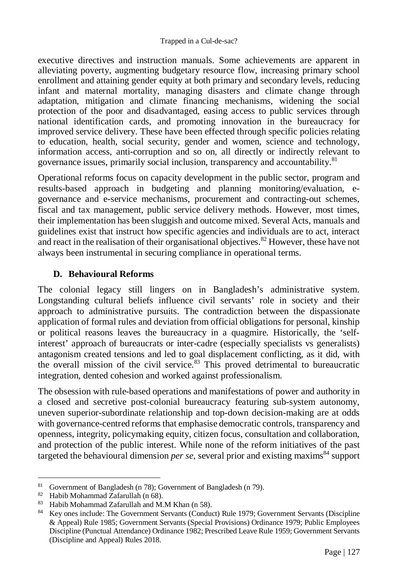executive directives and instruction manuals. Some achievements are apparent in alleviating poverty, augmenting budgetary resource flow, increasing primary school enrollment and attaining gender equity at both primary and secondary levels, reducing infant and maternal mortality, managing disasters and climate change through adaptation, mitigation and climate financing mechanisms, widening the social protection of the poor and disadvantaged, easing access to public services through national identification cards, and promoting innovation in the bureaucracy for improved service delivery. These have been effected through specific policies relating to education, health, social security, gender and women, science and technology, information access, anti-corruption and so on, all directly or indirectly relevant to governance issues, primarily social inclusion, transparency and accountability.<sup>81</sup>

Operational reforms focus on capacity development in the public sector, program and results-based approach in budgeting and planning monitoring/evaluation, egovernance and e-service mechanisms, procurement and contracting-out schemes, fiscal and tax management, public service delivery methods. However, most times, their implementation has been sluggish and outcome mixed. Several Acts, manuals and guidelines exist that instruct how specific agencies and individuals are to act, interact and react in the realisation of their organisational objectives.<sup>82</sup> However, these have not always been instrumental in securing compliance in operational terms.

#### **D. Behavioural Reforms**

The colonial legacy still lingers on in Bangladesh's administrative system. Longstanding cultural beliefs influence civil servants' role in society and their approach to administrative pursuits. The contradiction between the dispassionate application of formal rules and deviation from official obligations for personal, kinship or political reasons leaves the bureaucracy in a quagmire. Historically, the 'selfinterest' approach of bureaucrats or inter-cadre (especially specialists vs generalists) antagonism created tensions and led to goal displacement conflicting, as it did, with the overall mission of the civil service. $83$  This proved detrimental to bureaucratic integration, dented cohesion and worked against professionalism.

The obsession with rule-based operations and manifestations of power and authority in a closed and secretive post-colonial bureaucracy featuring sub-system autonomy, uneven superior-subordinate relationship and top-down decision-making are at odds with governance-centred reforms that emphasise democratic controls, transparency and openness, integrity, policymaking equity, citizen focus, consultation and collaboration, and protection of the public interest. While none of the reform initiatives of the past targeted the behavioural dimension *per se*, several prior and existing maxims<sup>84</sup> support

 $\overline{81}$ Government of Bangladesh (n 78); Government of Bangladesh (n 79).

<sup>82</sup> Habib Mohammad Zafarullah (n 68).

<sup>83</sup> Habib Mohammad Zafarullah and M.M Khan (n 58).

<sup>84</sup> Key ones include: The Government Servants (Conduct) Rule 1979; Government Servants (Discipline & Appeal) Rule 1985; Government Servants (Special Provisions) Ordinance 1979; Public Employees Discipline (Punctual Attendance) Ordinance 1982; Prescribed Leave Rule 1959; Government Servants (Discipline and Appeal) Rules 2018.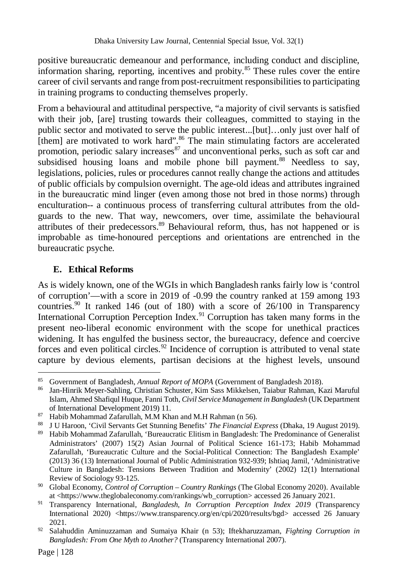positive bureaucratic demeanour and performance, including conduct and discipline, information sharing, reporting, incentives and probity.<sup>85</sup> These rules cover the entire career of civil servants and range from post-recruitment responsibilities to participating in training programs to conducting themselves properly.

From a behavioural and attitudinal perspective, "a majority of civil servants is satisfied with their job, [are] trusting towards their colleagues, committed to staying in the public sector and motivated to serve the public interest...[but]…only just over half of [them] are motivated to work hard".<sup>86</sup> The main stimulating factors are accelerated promotion, periodic salary increases  $\frac{87}{3}$  and unconventional perks, such as soft car and subsidised housing loans and mobile phone bill payment.<sup>88</sup> Needless to say, legislations, policies, rules or procedures cannot really change the actions and attitudes of public officials by compulsion overnight. The age-old ideas and attributes ingrained in the bureaucratic mind linger (even among those not bred in those norms) through enculturation-- a continuous process of transferring cultural attributes from the oldguards to the new. That way, newcomers, over time, assimilate the behavioural attributes of their predecessors.<sup>89</sup> Behavioural reform, thus, has not happened or is improbable as time-honoured perceptions and orientations are entrenched in the bureaucratic psyche.

#### **E. Ethical Reforms**

As is widely known, one of the WGIs in which Bangladesh ranks fairly low is 'control of corruption'—with a score in 2019 of -0.99 the country ranked at 159 among 193 countries.<sup>90</sup> It ranked 146 (out of 180) with a score of  $26/100$  in Transparency International Corruption Perception Index.<sup>91</sup> Corruption has taken many forms in the present neo-liberal economic environment with the scope for unethical practices widening. It has engulfed the business sector, the bureaucracy, defence and coercive forces and even political circles.<sup>92</sup> Incidence of corruption is attributed to venal state capture by devious elements, partisan decisions at the highest levels, unsound

 $\overline{a}$ <sup>85</sup> Government of Bangladesh, *Annual Report of MOPA* (Government of Bangladesh 2018).

<sup>86</sup> Jan-Hinrik Meyer-Sahling, Christian Schuster, Kim Sass Mikkelsen, Taiabur Rahman, Kazi Maruful Islam, Ahmed Shafiqul Huque, Fanni Toth, *Civil Service Management in Bangladesh* (UK Department of International Development 2019) 11.

<sup>87</sup> Habib Mohammad Zafarullah, M.M Khan and M.H Rahman (n 56).

<sup>88</sup> J U Haroon, 'Civil Servants Get Stunning Benefits' *The Financial Express* (Dhaka, 19 August 2019).

<sup>89</sup> Habib Mohammad Zafarullah, 'Bureaucratic Elitism in Bangladesh: The Predominance of Generalist Administrators' (2007) 15(2) Asian Journal of Political Science 161-173; Habib Mohammad Zafarullah, 'Bureaucratic Culture and the Social-Political Connection: The Bangladesh Example' (2013) 36 (13) International Journal of Public Administration 932-939; Ishtiaq Jamil, 'Administrative Culture in Bangladesh: Tensions Between Tradition and Modernity' (2002) 12(1) International Review of Sociology 93-125.

<sup>90</sup> Global Economy, *Control of Corruption – Country Rankings* (The Global Economy 2020). Available at <https://www.theglobaleconomy.com/rankings/wb\_corruption> accessed 26 January 2021.

<sup>91</sup> Transparency International, *Bangladesh, In Corruption Perception Index 2019* (Transparency International 2020) <https://www.transparency.org/en/cpi/2020/results/bgd> accessed 26 January 2021.

<sup>92</sup> Salahuddin Aminuzzaman and Sumaiya Khair (n 53); Iftekharuzzaman, *Fighting Corruption in Bangladesh: From One Myth to Another?* (Transparency International 2007).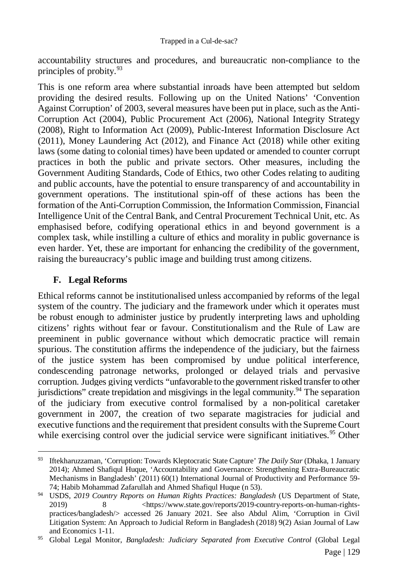accountability structures and procedures, and bureaucratic non-compliance to the principles of probity.<sup>93</sup>

This is one reform area where substantial inroads have been attempted but seldom providing the desired results. Following up on the United Nations' 'Convention Against Corruption' of 2003, several measures have been put in place, such as the Anti-Corruption Act (2004), Public Procurement Act (2006), National Integrity Strategy (2008), Right to Information Act (2009), Public-Interest Information Disclosure Act (2011), Money Laundering Act (2012), and Finance Act (2018) while other exiting laws (some dating to colonial times) have been updated or amended to counter corrupt practices in both the public and private sectors. Other measures, including the Government Auditing Standards, Code of Ethics, two other Codes relating to auditing and public accounts, have the potential to ensure transparency of and accountability in government operations. The institutional spin-off of these actions has been the formation of the Anti-Corruption Commission, the Information Commission, Financial Intelligence Unit of the Central Bank, and Central Procurement Technical Unit, etc. As emphasised before, codifying operational ethics in and beyond government is a complex task, while instilling a culture of ethics and morality in public governance is even harder. Yet, these are important for enhancing the credibility of the government, raising the bureaucracy's public image and building trust among citizens.

## **F. Legal Reforms**

Ethical reforms cannot be institutionalised unless accompanied by reforms of the legal system of the country. The judiciary and the framework under which it operates must be robust enough to administer justice by prudently interpreting laws and upholding citizens' rights without fear or favour. Constitutionalism and the Rule of Law are preeminent in public governance without which democratic practice will remain spurious. The constitution affirms the independence of the judiciary, but the fairness of the justice system has been compromised by undue political interference, condescending patronage networks, prolonged or delayed trials and pervasive corruption. Judges giving verdicts "unfavorable to the government risked transfer to other jurisdictions" create trepidation and misgivings in the legal community.<sup>94</sup> The separation of the judiciary from executive control formalised by a non-political caretaker government in 2007, the creation of two separate magistracies for judicial and executive functions and the requirement that president consults with the Supreme Court while exercising control over the judicial service were significant initiatives.<sup>95</sup> Other

 $\overline{a}$ <sup>93</sup> Iftekharuzzaman, 'Corruption: Towards Kleptocratic State Capture' *The Daily Star* (Dhaka, 1 January 2014); Ahmed Shafiqul Huque, 'Accountability and Governance: Strengthening Extra-Bureaucratic Mechanisms in Bangladesh' (2011) 60(1) International Journal of Productivity and Performance 59- 74; Habib Mohammad Zafarullah and Ahmed Shafiqul Huque (n 53).

<sup>94</sup> USDS, *2019 Country Reports on Human Rights Practices: Bangladesh* (US Department of State, 2019) 8 <https://www.state.gov/reports/2019-country-reports-on-human-rightspractices/bangladesh/> accessed 26 January 2021. See also Abdul Alim, 'Corruption in Civil Litigation System: An Approach to Judicial Reform in Bangladesh (2018) 9(2) Asian Journal of Law and Economics 1-11.

<sup>&</sup>lt;sup>95</sup> Global Legal Monitor, *Bangladesh: Judiciary Separated from Executive Control* (Global Legal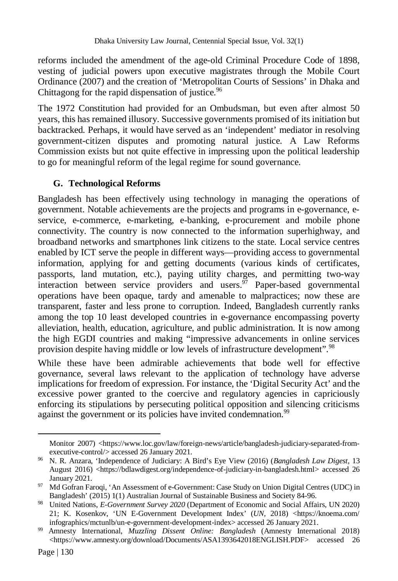reforms included the amendment of the age-old Criminal Procedure Code of 1898, vesting of judicial powers upon executive magistrates through the Mobile Court Ordinance (2007) and the creation of 'Metropolitan Courts of Sessions' in Dhaka and Chittagong for the rapid dispensation of justice. $96$ 

The 1972 Constitution had provided for an Ombudsman, but even after almost 50 years, this has remained illusory. Successive governments promised of its initiation but backtracked. Perhaps, it would have served as an 'independent' mediator in resolving government-citizen disputes and promoting natural justice. A Law Reforms Commission exists but not quite effective in impressing upon the political leadership to go for meaningful reform of the legal regime for sound governance.

#### **G. Technological Reforms**

Bangladesh has been effectively using technology in managing the operations of government. Notable achievements are the projects and programs in e-governance, eservice, e-commerce, e-marketing, e-banking, e-procurement and mobile phone connectivity. The country is now connected to the information superhighway, and broadband networks and smartphones link citizens to the state. Local service centres enabled by ICT serve the people in different ways—providing access to governmental information, applying for and getting documents (various kinds of certificates, passports, land mutation, etc.), paying utility charges, and permitting two-way interaction between service providers and users.  $\frac{97}{7}$  Paper-based governmental operations have been opaque, tardy and amenable to malpractices; now these are transparent, faster and less prone to corruption. Indeed, Bangladesh currently ranks among the top 10 least developed countries in e-governance encompassing poverty alleviation, health, education, agriculture, and public administration. It is now among the high EGDI countries and making "impressive advancements in online services provision despite having middle or low levels of infrastructure development".<sup>98</sup>

While these have been admirable achievements that bode well for effective governance, several laws relevant to the application of technology have adverse implications for freedom of expression. For instance, the 'Digital Security Act' and the excessive power granted to the coercive and regulatory agencies in capriciously enforcing its stipulations by persecuting political opposition and silencing criticisms against the government or its policies have invited condemnation.<sup>99</sup>

Monitor 2007) <https://www.loc.gov/law/foreign-news/article/bangladesh-judiciary-separated-fromexecutive-control/> accessed 26 January 2021.

<sup>96</sup> N. R. Anzara, 'Independence of Judiciary: A Bird's Eye View (2016) (*Bangladesh Law Digest*, 13 August 2016) <https://bdlawdigest.org/independence-of-judiciary-in-bangladesh.html> accessed 26 January 2021.

<sup>97</sup> Md Gofran Faroqi, 'An Assessment of e-Government: Case Study on Union Digital Centres (UDC) in Bangladesh' (2015) 1(1) Australian Journal of Sustainable Business and Society 84-96.

<sup>98</sup> United Nations, *E-Government Survey 2020* (Department of Economic and Social Affairs, UN 2020) 21; K. Kosenkov, 'UN E-Government Development Index' (*UN*, 2018) <https://knoema.com/ infographics/mctunlb/un-e-government-development-index> accessed 26 January 2021.

<sup>99</sup> Amnesty International, *Muzzling Dissent Online: Bangladesh* (Amnesty International 2018) <https://www.amnesty.org/download/Documents/ASA1393642018ENGLISH.PDF> accessed 26